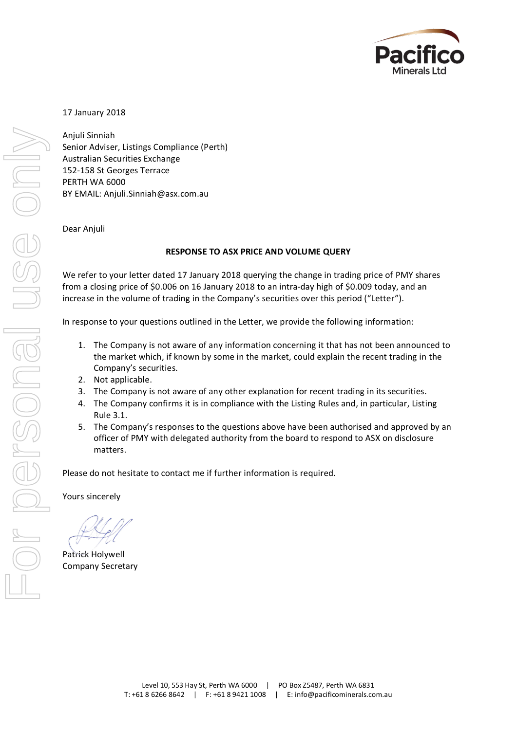

# 17 January 2018

Anjuli Sinniah Senior Adviser, Listings Compliance (Perth) Australian Securities Exchange 152-158 St Georges Terrace PERTH WA 6000 BY EMAIL: Anjuli.Sinniah@asx.com.au

#### Dear Anjuli

#### **RESPONSE TO ASX PRICE AND VOLUME QUERY**

We refer to your letter dated 17 January 2018 querying the change in trading price of PMY shares from a closing price of \$0.006 on 16 January 2018 to an intra-day high of \$0.009 today, and an increase in the volume of trading in the Company's securities over this period ("Letter").

In response to your questions outlined in the Letter, we provide the following information:

- 1. The Company is not aware of any information concerning it that has not been announced to the market which, if known by some in the market, could explain the recent trading in the Company's securities.
- 2. Not applicable.
- 3. The Company is not aware of any other explanation for recent trading in its securities.
- 4. The Company confirms it is in compliance with the Listing Rules and, in particular, Listing Rule 3.1.
- 5. The Company's responses to the questions above have been authorised and approved by an officer of PMY with delegated authority from the board to respond to ASX on disclosure matters.

Please do not hesitate to contact me if further information is required.

Yours sincerely

Patrick Holywell Company Secretary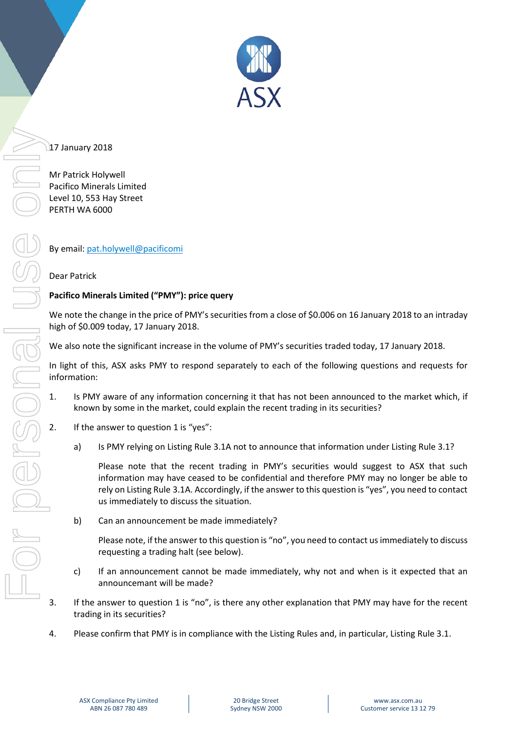

# 17 January 2018

Mr Patrick Holywell Pacifico Minerals Limited Level 10, 553 Hay Street PERTH WA 6000

By email: [pat.holywell@pacificomi](mailto:pat.holywell@pacificomi)

# Dear Patrick

# **Pacifico Minerals Limited ("PMY"): price query**

We note the change in the price of PMY's securities from a close of \$0.006 on 16 January 2018 to an intraday high of \$0.009 today, 17 January 2018.

We also note the significant increase in the volume of PMY's securities traded today, 17 January 2018.

In light of this, ASX asks PMY to respond separately to each of the following questions and requests for information:

- 1. Is PMY aware of any information concerning it that has not been announced to the market which, if known by some in the market, could explain the recent trading in its securities?
- 2. If the answer to question 1 is "yes":
	- a) Is PMY relying on Listing Rule 3.1A not to announce that information under Listing Rule 3.1?

Please note that the recent trading in PMY's securities would suggest to ASX that such information may have ceased to be confidential and therefore PMY may no longer be able to rely on Listing Rule 3.1A. Accordingly, if the answer to this question is "yes", you need to contact us immediately to discuss the situation.

b) Can an announcement be made immediately?

Please note, if the answer to this question is "no", you need to contact us immediately to discuss requesting a trading halt (see below).

- c) If an announcement cannot be made immediately, why not and when is it expected that an announcemant will be made?
- 3. If the answer to question 1 is "no", is there any other explanation that PMY may have for the recent trading in its securities?
-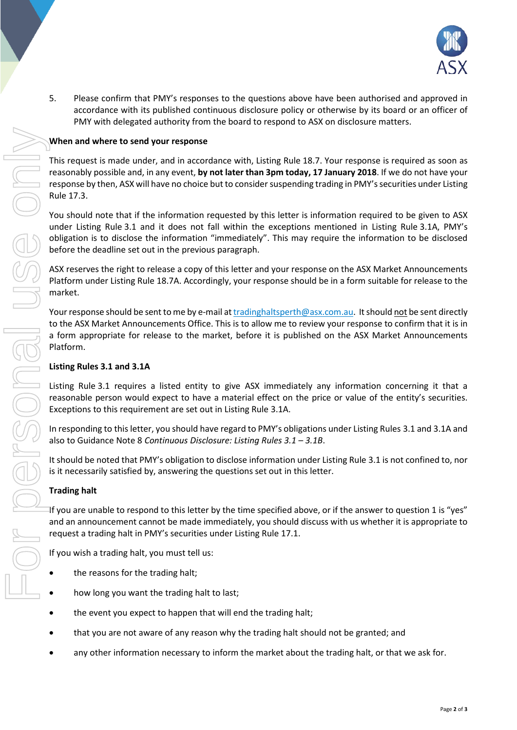

5. Please confirm that PMY's responses to the questions above have been authorised and approved in accordance with its published continuous disclosure policy or otherwise by its board or an officer of PMY with delegated authority from the board to respond to ASX on disclosure matters.

## **When and where to send your response**

This request is made under, and in accordance with, Listing Rule 18.7. Your response is required as soon as reasonably possible and, in any event, **by not later than 3pm today, 17 January 2018**. If we do not have your response by then, ASX will have no choice but to consider suspending trading in PMY's securities under Listing Rule 17.3.

You should note that if the information requested by this letter is information required to be given to ASX under Listing Rule 3.1 and it does not fall within the exceptions mentioned in Listing Rule 3.1A, PMY's obligation is to disclose the information "immediately". This may require the information to be disclosed before the deadline set out in the previous paragraph.

ASX reserves the right to release a copy of this letter and your response on the ASX Market Announcements Platform under Listing Rule 18.7A. Accordingly, your response should be in a form suitable for release to the market.

Your response should be sent to me by e-mail at [tradinghaltsperth@asx.com.au.](mailto:tradinghaltsperth@asx.com.au) It should not be sent directly to the ASX Market Announcements Office. This is to allow me to review your response to confirm that it is in a form appropriate for release to the market, before it is published on the ASX Market Announcements Platform.

### **Listing Rules 3.1 and 3.1A**

Listing Rule 3.1 requires a listed entity to give ASX immediately any information concerning it that a reasonable person would expect to have a material effect on the price or value of the entity's securities. Exceptions to this requirement are set out in Listing Rule 3.1A.

In responding to this letter, you should have regard to PMY's obligations under Listing Rules 3.1 and 3.1A and also to Guidance Note 8 *Continuous Disclosure: Listing Rules 3.1 – 3.1B*.

It should be noted that PMY's obligation to disclose information under Listing Rule 3.1 is not confined to, nor is it necessarily satisfied by, answering the questions set out in this letter.

#### **Trading halt**

If you are unable to respond to this letter by the time specified above, or if the answer to question 1 is "yes" and an announcement cannot be made immediately, you should discuss with us whether it is appropriate to request a trading halt in PMY's securities under Listing Rule 17.1.

If you wish a trading halt, you must tell us:

- the reasons for the trading halt;
- how long you want the trading halt to last;
- the event you expect to happen that will end the trading halt;
- that you are not aware of any reason why the trading halt should not be granted; and
-